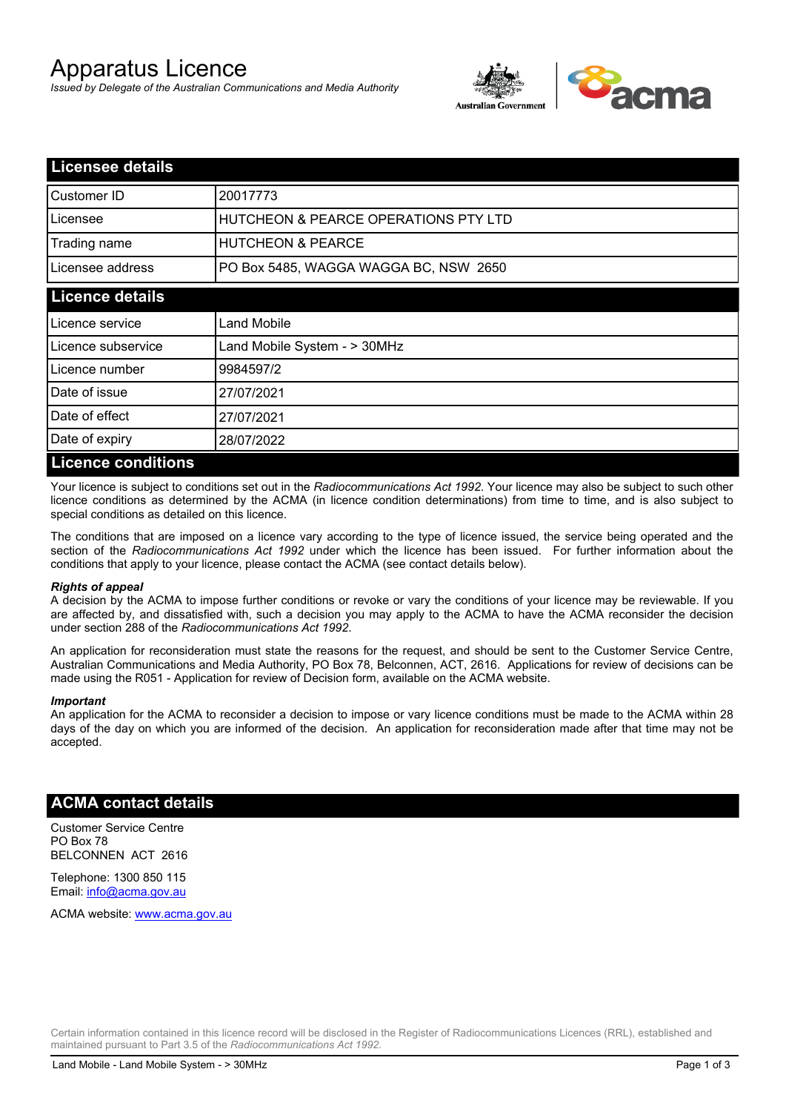# Apparatus Licence

*Issued by Delegate of the Australian Communications and Media Authority*



| <b>Licensee details</b>   |                                                 |  |
|---------------------------|-------------------------------------------------|--|
| Customer ID               | 20017773                                        |  |
| Licensee                  | <b>HUTCHEON &amp; PEARCE OPERATIONS PTY LTD</b> |  |
| Trading name              | <b>HUTCHEON &amp; PEARCE</b>                    |  |
| Licensee address          | PO Box 5485, WAGGA WAGGA BC, NSW 2650           |  |
| <b>Licence details</b>    |                                                 |  |
| Licence service           | Land Mobile                                     |  |
| Licence subservice        | Land Mobile System - > 30MHz                    |  |
| Licence number            | 9984597/2                                       |  |
| Date of issue             | 27/07/2021                                      |  |
| Date of effect            | 27/07/2021                                      |  |
| Date of expiry            | 28/07/2022                                      |  |
| <b>Licence conditions</b> |                                                 |  |

Your licence is subject to conditions set out in the *Radiocommunications Act 1992*. Your licence may also be subject to such other licence conditions as determined by the ACMA (in licence condition determinations) from time to time, and is also subject to special conditions as detailed on this licence.

The conditions that are imposed on a licence vary according to the type of licence issued, the service being operated and the section of the *Radiocommunications Act 1992* under which the licence has been issued. For further information about the conditions that apply to your licence, please contact the ACMA (see contact details below).

#### *Rights of appeal*

A decision by the ACMA to impose further conditions or revoke or vary the conditions of your licence may be reviewable. If you are affected by, and dissatisfied with, such a decision you may apply to the ACMA to have the ACMA reconsider the decision under section 288 of the *Radiocommunications Act 1992*.

An application for reconsideration must state the reasons for the request, and should be sent to the Customer Service Centre, Australian Communications and Media Authority, PO Box 78, Belconnen, ACT, 2616. Applications for review of decisions can be made using the R051 - Application for review of Decision form, available on the ACMA website.

#### *Important*

An application for the ACMA to reconsider a decision to impose or vary licence conditions must be made to the ACMA within 28 days of the day on which you are informed of the decision. An application for reconsideration made after that time may not be accepted.

### **ACMA contact details**

Customer Service Centre PO Box 78 BELCONNEN ACT 2616

Telephone: 1300 850 115 Email: info@acma.gov.au

ACMA website: www.acma.gov.au

Certain information contained in this licence record will be disclosed in the Register of Radiocommunications Licences (RRL), established and maintained pursuant to Part 3.5 of the *Radiocommunications Act 1992.*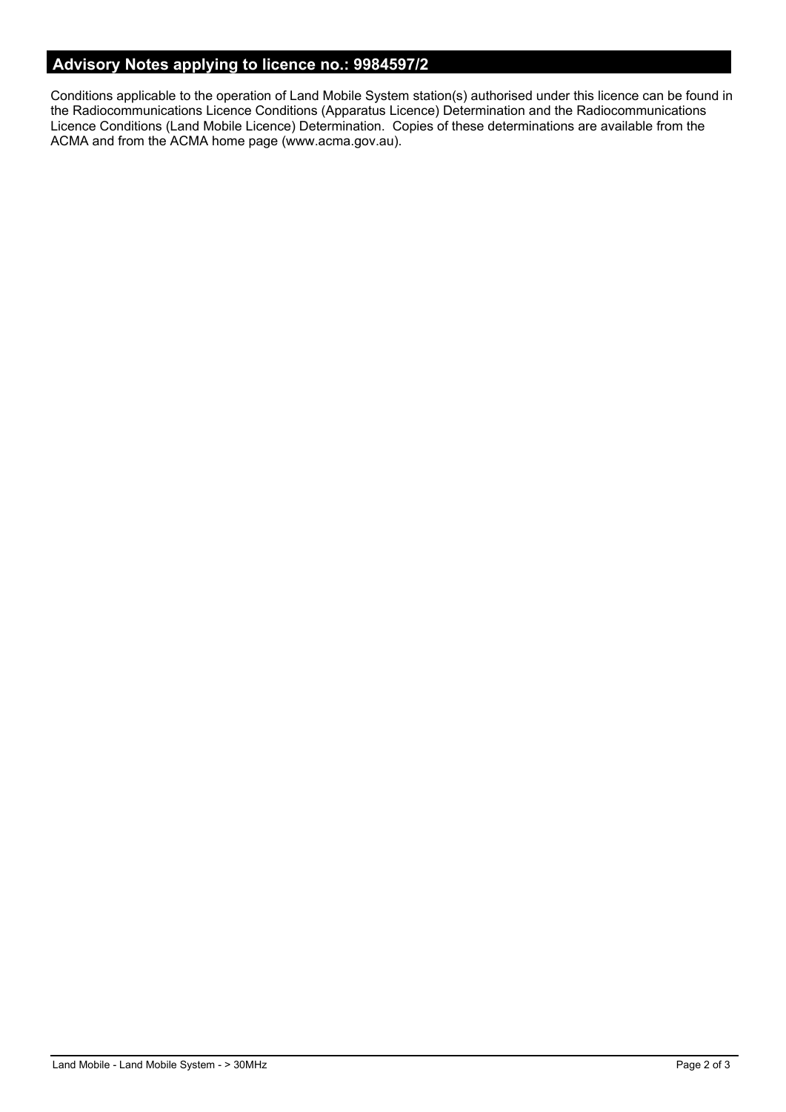# **Advisory Notes applying to licence no.: 9984597/2**

Conditions applicable to the operation of Land Mobile System station(s) authorised under this licence can be found in the Radiocommunications Licence Conditions (Apparatus Licence) Determination and the Radiocommunications Licence Conditions (Land Mobile Licence) Determination. Copies of these determinations are available from the ACMA and from the ACMA home page (www.acma.gov.au).